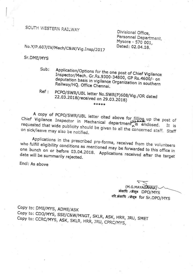SOUTH WESTERN RAILWAY

Divisional Office, Personnel Department, Mysore - 570 001, Dated: 02.04.18.

# No.Y/P.607/IV/Mech/C&W/Vig.Insp/2017

### Sr.DME/MYS

Application/Options for the one post of Chief Vigilance Sub: Inspector/Mech. Gr.Rs.9300-34800, GP Rs.4600/- on deputation basis in vigilance Organization in southern Railway/HQ. Office Chennai.

#### Ref: PCPO/SWR/UBL letter No.SWR(P)608/Vig./OR dated 22.03.2018(received on 29.03.2018) \*\*\*\*\*

A copy of PCPO/SWR/UBL letter cited above for filling up the post of Chief Vigilance Inspector in Mechanical department is enclosed. requested that wide publicity should be given to all the concerned staff. Staff on sick/leave may also be notified.

Applications in the prescribed pro-forma, received from the volunteers who fulfill eligibility conditions as mentioned may be forwarded to this office in one bunch on or before 03.04.2018. Applications received after the target date will be summarily rejected.

Encl: As above

(M.G.MAYAGANNA) मंकाधि /मैसूरू DPO/MYS वरि.मंकाधि /मैसूरू for Sr.DPO/MYS

Copy to: DME/MYS, ADME/ASK Copy to: CDO/MYS, SSE/C&W/MNGT, SKLR, ASK, HRR, JRU, SMET Copy to: CCRC/MYS, ASK, SKLR, HRR, JRU, CPRC/MYS,